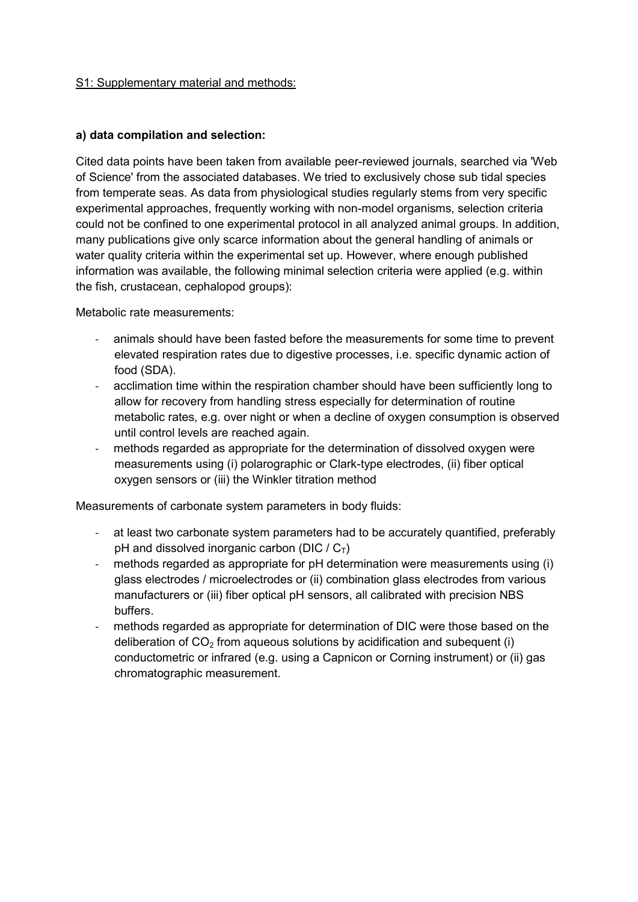### S1: Supplementary material and methods:

## **a) data compilation and selection:**

Cited data points have been taken from available peer-reviewed journals, searched via 'Web of Science' from the associated databases. We tried to exclusively chose sub tidal species from temperate seas. As data from physiological studies regularly stems from very specific experimental approaches, frequently working with non-model organisms, selection criteria could not be confined to one experimental protocol in all analyzed animal groups. In addition, many publications give only scarce information about the general handling of animals or water quality criteria within the experimental set up. However, where enough published information was available, the following minimal selection criteria were applied (e.g. within the fish, crustacean, cephalopod groups):

Metabolic rate measurements:

- animals should have been fasted before the measurements for some time to prevent elevated respiration rates due to digestive processes, i.e. specific dynamic action of food (SDA).
- acclimation time within the respiration chamber should have been sufficiently long to allow for recovery from handling stress especially for determination of routine metabolic rates, e.g. over night or when a decline of oxygen consumption is observed until control levels are reached again.
- methods regarded as appropriate for the determination of dissolved oxygen were measurements using (i) polarographic or Clark-type electrodes, (ii) fiber optical oxygen sensors or (iii) the Winkler titration method

Measurements of carbonate system parameters in body fluids:

- at least two carbonate system parameters had to be accurately quantified, preferably pH and dissolved inorganic carbon (DIC /  $C_T$ )
- methods regarded as appropriate for pH determination were measurements using (i) glass electrodes / microelectrodes or (ii) combination glass electrodes from various manufacturers or (iii) fiber optical pH sensors, all calibrated with precision NBS buffers.
- methods regarded as appropriate for determination of DIC were those based on the deliberation of  $CO<sub>2</sub>$  from aqueous solutions by acidification and subequent (i) conductometric or infrared (e.g. using a Capnicon or Corning instrument) or (ii) gas chromatographic measurement.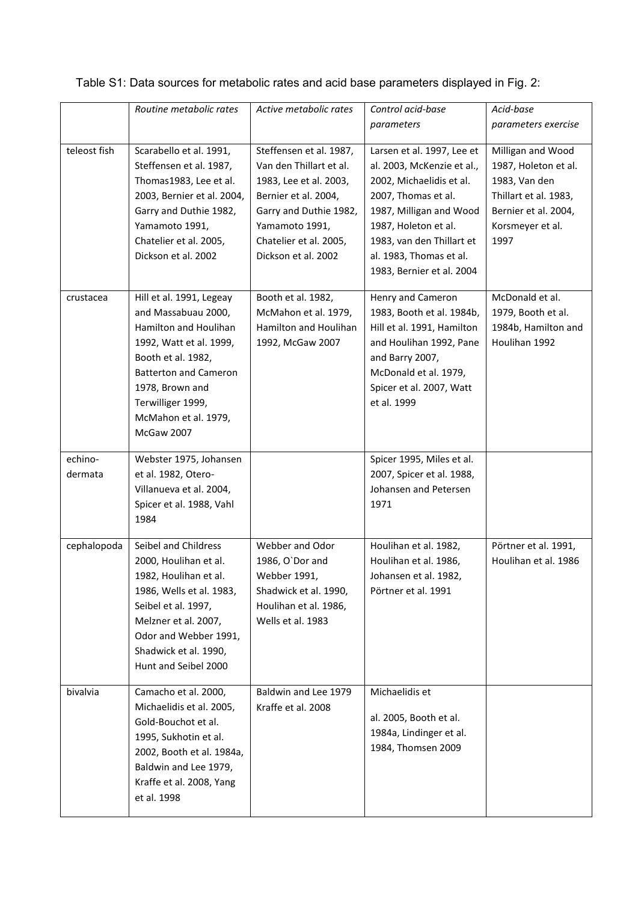|                    | Routine metabolic rates                                                                                                                                                                                                                 | Active metabolic rates                                                                                                                                                                            | Control acid-base<br>parameters                                                                                                                                                                                                                     | Acid-base<br>parameters exercise                                                                                                        |
|--------------------|-----------------------------------------------------------------------------------------------------------------------------------------------------------------------------------------------------------------------------------------|---------------------------------------------------------------------------------------------------------------------------------------------------------------------------------------------------|-----------------------------------------------------------------------------------------------------------------------------------------------------------------------------------------------------------------------------------------------------|-----------------------------------------------------------------------------------------------------------------------------------------|
| teleost fish       | Scarabello et al. 1991,<br>Steffensen et al. 1987,<br>Thomas1983, Lee et al.<br>2003, Bernier et al. 2004,<br>Garry and Duthie 1982,<br>Yamamoto 1991,<br>Chatelier et al. 2005,<br>Dickson et al. 2002                                 | Steffensen et al. 1987,<br>Van den Thillart et al.<br>1983, Lee et al. 2003,<br>Bernier et al. 2004,<br>Garry and Duthie 1982,<br>Yamamoto 1991,<br>Chatelier et al. 2005,<br>Dickson et al. 2002 | Larsen et al. 1997, Lee et<br>al. 2003, McKenzie et al.,<br>2002, Michaelidis et al.<br>2007, Thomas et al.<br>1987, Milligan and Wood<br>1987, Holeton et al.<br>1983, van den Thillart et<br>al. 1983, Thomas et al.<br>1983, Bernier et al. 2004 | Milligan and Wood<br>1987, Holeton et al.<br>1983, Van den<br>Thillart et al. 1983,<br>Bernier et al. 2004,<br>Korsmeyer et al.<br>1997 |
| crustacea          | Hill et al. 1991, Legeay<br>and Massabuau 2000,<br>Hamilton and Houlihan<br>1992, Watt et al. 1999,<br>Booth et al. 1982,<br><b>Batterton and Cameron</b><br>1978, Brown and<br>Terwilliger 1999,<br>McMahon et al. 1979,<br>McGaw 2007 | Booth et al. 1982,<br>McMahon et al. 1979,<br>Hamilton and Houlihan<br>1992, McGaw 2007                                                                                                           | Henry and Cameron<br>1983, Booth et al. 1984b,<br>Hill et al. 1991, Hamilton<br>and Houlihan 1992, Pane<br>and Barry 2007,<br>McDonald et al. 1979,<br>Spicer et al. 2007, Watt<br>et al. 1999                                                      | McDonald et al.<br>1979, Booth et al.<br>1984b, Hamilton and<br>Houlihan 1992                                                           |
| echino-<br>dermata | Webster 1975, Johansen<br>et al. 1982, Otero-<br>Villanueva et al. 2004,<br>Spicer et al. 1988, Vahl<br>1984                                                                                                                            |                                                                                                                                                                                                   | Spicer 1995, Miles et al.<br>2007, Spicer et al. 1988,<br>Johansen and Petersen<br>1971                                                                                                                                                             |                                                                                                                                         |
| cephalopoda        | Seibel and Childress<br>2000, Houlihan et al.<br>1982, Houlihan et al.<br>1986, Wells et al. 1983,<br>Seibel et al. 1997,<br>Melzner et al. 2007,<br>Odor and Webber 1991,<br>Shadwick et al. 1990,<br>Hunt and Seibel 2000             | Webber and Odor<br>1986, O'Dor and<br>Webber 1991,<br>Shadwick et al. 1990,<br>Houlihan et al. 1986,<br>Wells et al. 1983                                                                         | Houlihan et al. 1982,<br>Houlihan et al. 1986,<br>Johansen et al. 1982,<br>Pörtner et al. 1991                                                                                                                                                      | Pörtner et al. 1991,<br>Houlihan et al. 1986                                                                                            |
| bivalvia           | Camacho et al. 2000,<br>Michaelidis et al. 2005,<br>Gold-Bouchot et al.<br>1995, Sukhotin et al.<br>2002, Booth et al. 1984a,<br>Baldwin and Lee 1979,<br>Kraffe et al. 2008, Yang<br>et al. 1998                                       | Baldwin and Lee 1979<br>Kraffe et al. 2008                                                                                                                                                        | Michaelidis et<br>al. 2005, Booth et al.<br>1984a, Lindinger et al.<br>1984, Thomsen 2009                                                                                                                                                           |                                                                                                                                         |

Table S1: Data sources for metabolic rates and acid base parameters displayed in Fig. 2: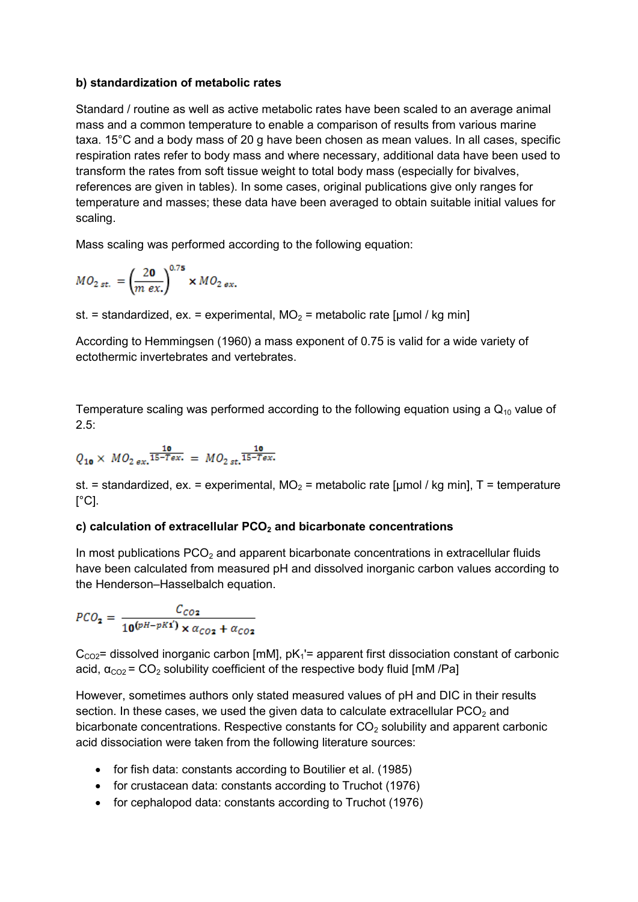### **b) standardization of metabolic rates**

Standard / routine as well as active metabolic rates have been scaled to an average animal mass and a common temperature to enable a comparison of results from various marine taxa. 15°C and a body mass of 20 g have been chosen as mean values. In all cases, specific respiration rates refer to body mass and where necessary, additional data have been used to transform the rates from soft tissue weight to total body mass (especially for bivalves, references are given in tables). In some cases, original publications give only ranges for temperature and masses; these data have been averaged to obtain suitable initial values for scaling.

Mass scaling was performed according to the following equation:

$$
MO_{2\,st.} = \left(\frac{2\mathbf{0}}{m\,ex.}\right)^{0.75} \times MO_{2\,ex}
$$

st. = standardized, ex. = experimental,  $MO_2$  = metabolic rate [µmol / kg min]

According to Hemmingsen (1960) a mass exponent of 0.75 is valid for a wide variety of ectothermic invertebrates and vertebrates.

Temperature scaling was performed according to the following equation using a  $Q_{10}$  value of 2.5:

$$
Q_{10} \times MO_{2\,ex.} \frac{10}{15-Test.} = MO_{2\,st.} \frac{10}{15-Test.}
$$

st. = standardized, ex. = experimental,  $MO_2$  = metabolic rate [µmol / kg min], T = temperature  $[^{\circ}C]$ .

# **c) calculation of extracellular PCO<sup>2</sup> and bicarbonate concentrations**

In most publications  $PCO<sub>2</sub>$  and apparent bicarbonate concentrations in extracellular fluids have been calculated from measured pH and dissolved inorganic carbon values according to the Henderson–Hasselbalch equation.

$$
PCO_{2} = \frac{C_{CO2}}{10^{(pH-pK1')}\times \alpha_{CO2} + \alpha_{CO2}}
$$

 $C<sub>CO2</sub>$  dissolved inorganic carbon [mM], pK<sub>1</sub>' apparent first dissociation constant of carbonic acid,  $\alpha_{CO2}$  = CO<sub>2</sub> solubility coefficient of the respective body fluid [mM /Pa]

However, sometimes authors only stated measured values of pH and DIC in their results section. In these cases, we used the given data to calculate extracellular  $PCO<sub>2</sub>$  and bicarbonate concentrations. Respective constants for  $CO<sub>2</sub>$  solubility and apparent carbonic acid dissociation were taken from the following literature sources:

- for fish data: constants according to Boutilier et al. (1985)
- for crustacean data: constants according to Truchot (1976)
- for cephalopod data: constants according to Truchot (1976)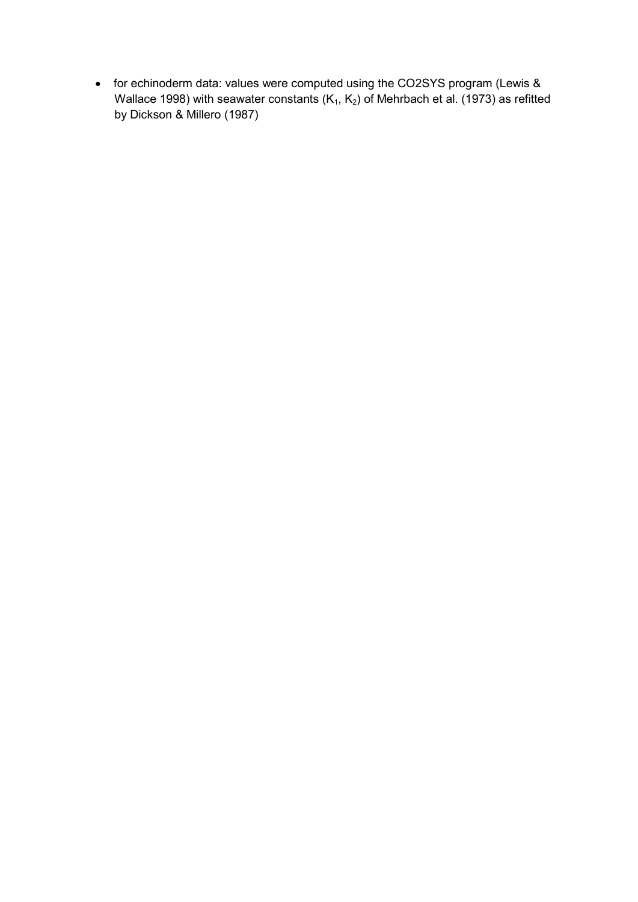for echinoderm data: values were computed using the CO2SYS program (Lewis & Wallace 1998) with seawater constants  $(K_1, K_2)$  of Mehrbach et al. (1973) as refitted by Dickson & Millero (1987)